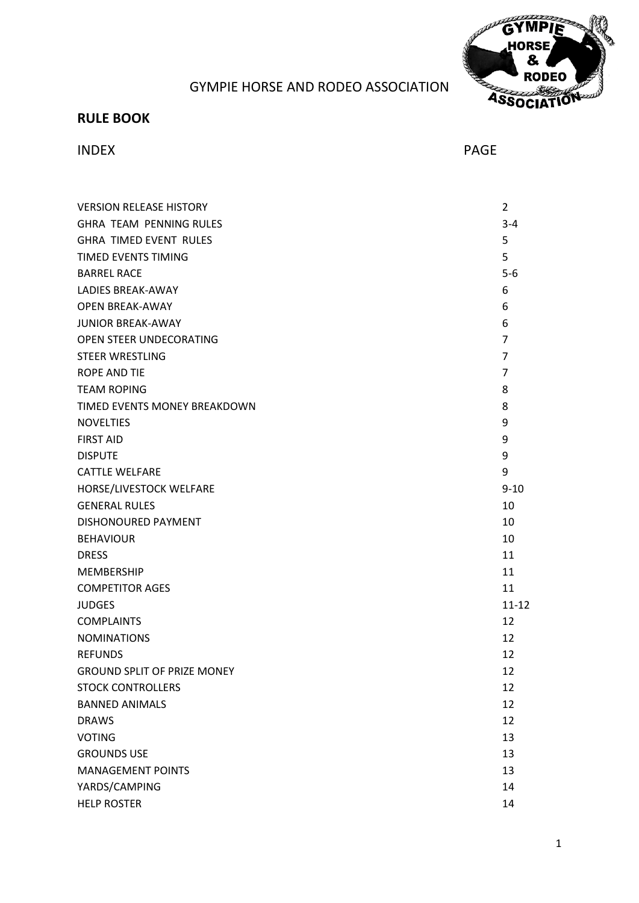

# GYMPIE HORSE AND RODEO ASSOCIATION

# **RULE BOOK**

## INDEX PAGE

| <b>VERSION RELEASE HISTORY</b>     | $\overline{2}$ |
|------------------------------------|----------------|
| <b>GHRA TEAM PENNING RULES</b>     | $3 - 4$        |
| <b>GHRA TIMED EVENT RULES</b>      | 5              |
| TIMED EVENTS TIMING                | 5              |
| <b>BARREL RACE</b>                 | $5-6$          |
| <b>LADIES BREAK-AWAY</b>           | 6              |
| <b>OPEN BREAK-AWAY</b>             | 6              |
| <b>JUNIOR BREAK-AWAY</b>           | 6              |
| OPEN STEER UNDECORATING            | $\overline{7}$ |
| <b>STEER WRESTLING</b>             | $\overline{7}$ |
| <b>ROPE AND TIE</b>                | 7              |
| <b>TEAM ROPING</b>                 | 8              |
| TIMED EVENTS MONEY BREAKDOWN       | 8              |
| <b>NOVELTIES</b>                   | 9              |
| <b>FIRST AID</b>                   | 9              |
| <b>DISPUTE</b>                     | 9              |
| <b>CATTLE WELFARE</b>              | 9              |
| HORSE/LIVESTOCK WELFARE            | $9 - 10$       |
| <b>GENERAL RULES</b>               | 10             |
| DISHONOURED PAYMENT                | 10             |
| <b>BEHAVIOUR</b>                   | 10             |
| <b>DRESS</b>                       | 11             |
| <b>MEMBERSHIP</b>                  | 11             |
| <b>COMPETITOR AGES</b>             | 11             |
| <b>JUDGES</b>                      | $11 - 12$      |
| <b>COMPLAINTS</b>                  | 12             |
| <b>NOMINATIONS</b>                 | 12             |
| <b>REFUNDS</b>                     | 12             |
| <b>GROUND SPLIT OF PRIZE MONEY</b> | 12             |
| <b>STOCK CONTROLLERS</b>           | 12             |
| <b>BANNED ANIMALS</b>              | 12             |
| <b>DRAWS</b>                       | 12             |
| <b>VOTING</b>                      | 13             |
| <b>GROUNDS USE</b>                 | 13             |
| <b>MANAGEMENT POINTS</b>           | 13             |
| YARDS/CAMPING                      | 14             |
| <b>HELP ROSTER</b>                 | 14             |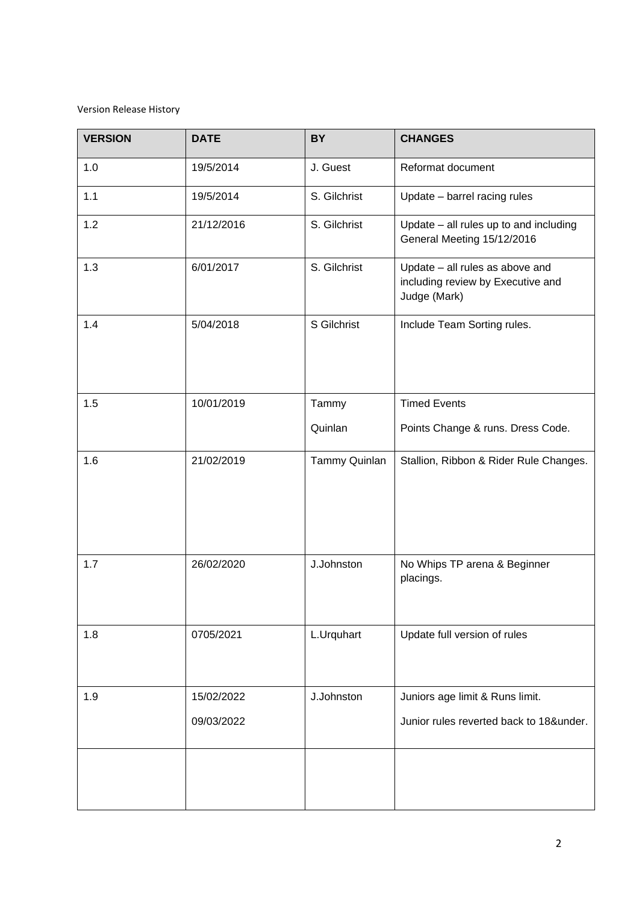## Version Release History

<span id="page-1-0"></span>

| <b>VERSION</b> | <b>DATE</b> | <b>BY</b>     | <b>CHANGES</b>                                                                       |  |
|----------------|-------------|---------------|--------------------------------------------------------------------------------------|--|
| 1.0            | 19/5/2014   | J. Guest      | Reformat document                                                                    |  |
| 1.1            | 19/5/2014   | S. Gilchrist  | Update - barrel racing rules                                                         |  |
| 1.2            | 21/12/2016  | S. Gilchrist  | Update - all rules up to and including<br>General Meeting 15/12/2016                 |  |
| 1.3            | 6/01/2017   | S. Gilchrist  | Update - all rules as above and<br>including review by Executive and<br>Judge (Mark) |  |
| 1.4            | 5/04/2018   | S Gilchrist   | Include Team Sorting rules.                                                          |  |
| 1.5            | 10/01/2019  | Tammy         | <b>Timed Events</b>                                                                  |  |
|                |             | Quinlan       | Points Change & runs. Dress Code.                                                    |  |
| 1.6            | 21/02/2019  | Tammy Quinlan | Stallion, Ribbon & Rider Rule Changes.                                               |  |
| 1.7            | 26/02/2020  | J.Johnston    | No Whips TP arena & Beginner<br>placings.                                            |  |
| 1.8            | 0705/2021   | L.Urquhart    | Update full version of rules                                                         |  |
| 1.9            | 15/02/2022  | J.Johnston    | Juniors age limit & Runs limit.                                                      |  |
|                | 09/03/2022  |               | Junior rules reverted back to 18&under.                                              |  |
|                |             |               |                                                                                      |  |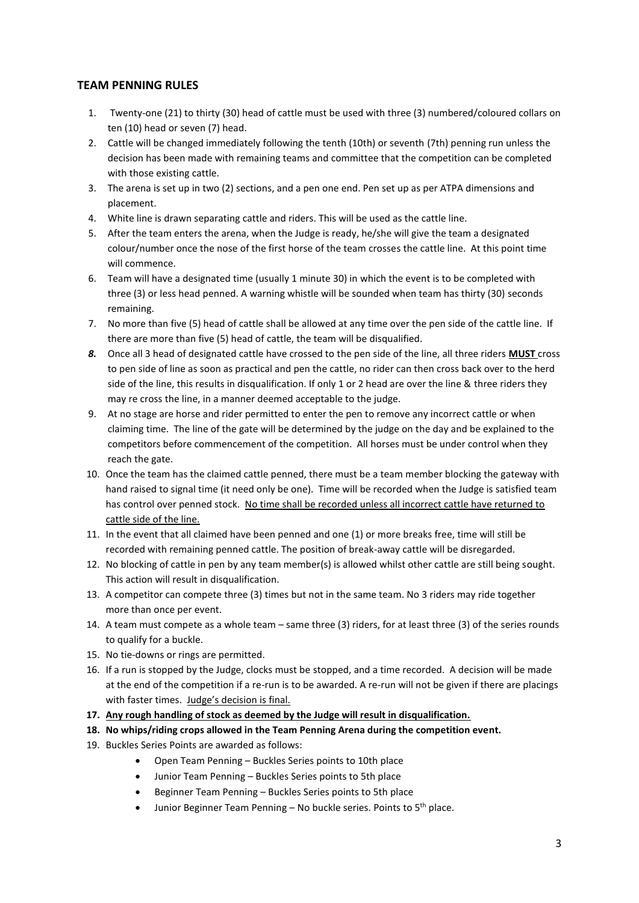## **TEAM PENNING RULES**

- 1. Twenty-one (21) to thirty (30) head of cattle must be used with three (3) numbered/coloured collars on ten (10) head or seven (7) head.
- 2. Cattle will be changed immediately following the tenth (10th) or seventh (7th) penning run unless the decision has been made with remaining teams and committee that the competition can be completed with those existing cattle.
- 3. The arena is set up in two (2) sections, and a pen one end. Pen set up as per ATPA dimensions and placement.
- 4. White line is drawn separating cattle and riders. This will be used as the cattle line.
- 5. After the team enters the arena, when the Judge is ready, he/she will give the team a designated colour/number once the nose of the first horse of the team crosses the cattle line. At this point time will commence.
- 6. Team will have a designated time (usually 1 minute 30) in which the event is to be completed with three (3) or less head penned. A warning whistle will be sounded when team has thirty (30) seconds remaining.
- 7. No more than five (5) head of cattle shall be allowed at any time over the pen side of the cattle line. If there are more than five (5) head of cattle, the team will be disqualified.
- *8.* Once all 3 head of designated cattle have crossed to the pen side of the line, all three riders **MUST** cross to pen side of line as soon as practical and pen the cattle, no rider can then cross back over to the herd side of the line, this results in disqualification. If only 1 or 2 head are over the line & three riders they may re cross the line, in a manner deemed acceptable to the judge.
- 9. At no stage are horse and rider permitted to enter the pen to remove any incorrect cattle or when claiming time. The line of the gate will be determined by the judge on the day and be explained to the competitors before commencement of the competition. All horses must be under control when they reach the gate.
- 10. Once the team has the claimed cattle penned, there must be a team member blocking the gateway with hand raised to signal time (it need only be one). Time will be recorded when the Judge is satisfied team has control over penned stock. No time shall be recorded unless all incorrect cattle have returned to cattle side of the line.
- 11. In the event that all claimed have been penned and one (1) or more breaks free, time will still be recorded with remaining penned cattle. The position of break-away cattle will be disregarded.
- 12. No blocking of cattle in pen by any team member(s) is allowed whilst other cattle are still being sought. This action will result in disqualification.
- 13. A competitor can compete three (3) times but not in the same team. No 3 riders may ride together more than once per event.
- 14. A team must compete as a whole team same three (3) riders, for at least three (3) of the series rounds to qualify for a buckle.
- 15. No tie-downs or rings are permitted.
- 16. If a run is stopped by the Judge, clocks must be stopped, and a time recorded. A decision will be made at the end of the competition if a re-run is to be awarded. A re-run will not be given if there are placings with faster times. Judge's decision is final.
- **17. Any rough handling of stock as deemed by the Judge will result in disqualification.**
- **18. No whips/riding crops allowed in the Team Penning Arena during the competition event.**
- 19. Buckles Series Points are awarded as follows:
	- Open Team Penning Buckles Series points to 10th place
	- Junior Team Penning Buckles Series points to 5th place
	- Beginner Team Penning Buckles Series points to 5th place
	- Junior Beginner Team Penning No buckle series. Points to  $5<sup>th</sup>$  place.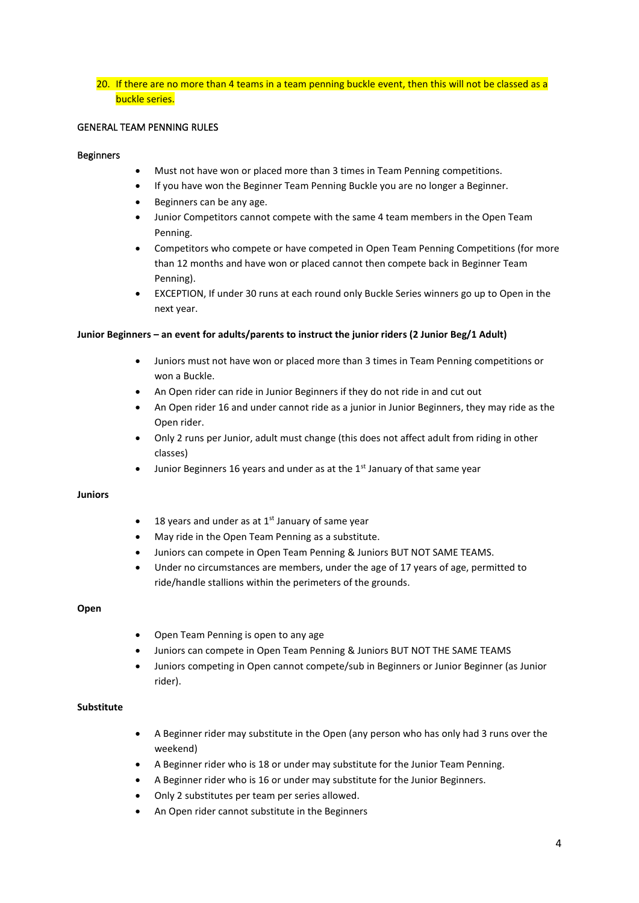20. If there are no more than 4 teams in a team penning buckle event, then this will not be classed as a buckle series.

## GENERAL TEAM PENNING RULES

### Beginners

- Must not have won or placed more than 3 times in Team Penning competitions.
- If you have won the Beginner Team Penning Buckle you are no longer a Beginner.
- Beginners can be any age.
- Junior Competitors cannot compete with the same 4 team members in the Open Team Penning.
- Competitors who compete or have competed in Open Team Penning Competitions (for more than 12 months and have won or placed cannot then compete back in Beginner Team Penning).
- EXCEPTION, If under 30 runs at each round only Buckle Series winners go up to Open in the next year.

### **Junior Beginners – an event for adults/parents to instruct the junior riders (2 Junior Beg/1 Adult)**

- Juniors must not have won or placed more than 3 times in Team Penning competitions or won a Buckle.
- An Open rider can ride in Junior Beginners if they do not ride in and cut out
- An Open rider 16 and under cannot ride as a junior in Junior Beginners, they may ride as the Open rider.
- Only 2 runs per Junior, adult must change (this does not affect adult from riding in other classes)
- Junior Beginners 16 years and under as at the  $1<sup>st</sup>$  January of that same year

### **Juniors**

- 18 years and under as at  $1<sup>st</sup>$  January of same year
- May ride in the Open Team Penning as a substitute.
- Juniors can compete in Open Team Penning & Juniors BUT NOT SAME TEAMS.
- Under no circumstances are members, under the age of 17 years of age, permitted to ride/handle stallions within the perimeters of the grounds.

### **Open**

- Open Team Penning is open to any age
- Juniors can compete in Open Team Penning & Juniors BUT NOT THE SAME TEAMS
- Juniors competing in Open cannot compete/sub in Beginners or Junior Beginner (as Junior rider).

### **Substitute**

- A Beginner rider may substitute in the Open (any person who has only had 3 runs over the weekend)
- A Beginner rider who is 18 or under may substitute for the Junior Team Penning.
- A Beginner rider who is 16 or under may substitute for the Junior Beginners.
- Only 2 substitutes per team per series allowed.
- An Open rider cannot substitute in the Beginners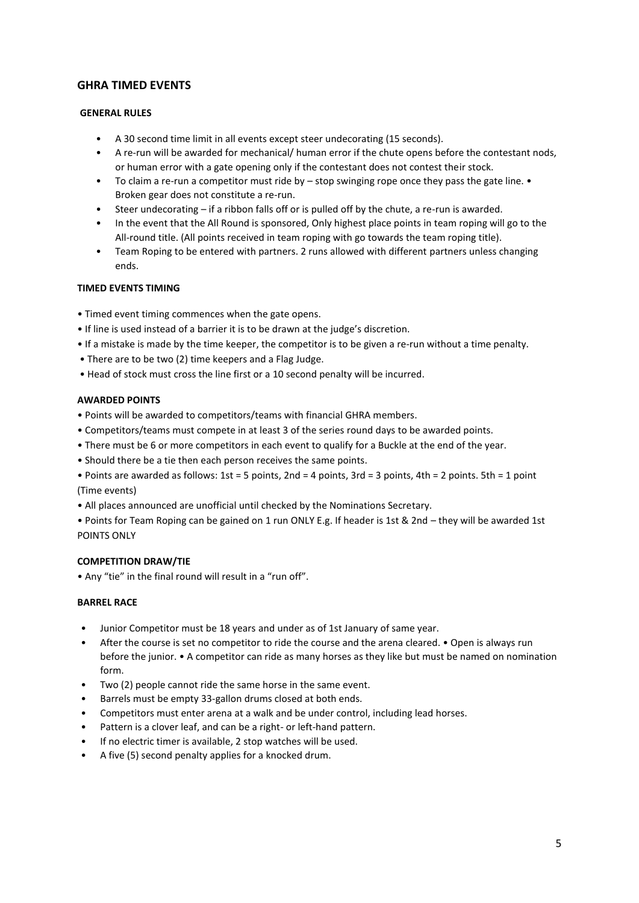## **GHRA TIMED EVENTS**

## **GENERAL RULES**

- A 30 second time limit in all events except steer undecorating (15 seconds).
- A re-run will be awarded for mechanical/ human error if the chute opens before the contestant nods, or human error with a gate opening only if the contestant does not contest their stock.
- To claim a re-run a competitor must ride by  $-$  stop swinging rope once they pass the gate line. Broken gear does not constitute a re-run.
- Steer undecorating if a ribbon falls off or is pulled off by the chute, a re-run is awarded.
- In the event that the All Round is sponsored, Only highest place points in team roping will go to the All-round title. (All points received in team roping with go towards the team roping title).
- Team Roping to be entered with partners. 2 runs allowed with different partners unless changing ends.

## **TIMED EVENTS TIMING**

- Timed event timing commences when the gate opens.
- If line is used instead of a barrier it is to be drawn at the judge's discretion.
- If a mistake is made by the time keeper, the competitor is to be given a re-run without a time penalty.
- There are to be two (2) time keepers and a Flag Judge.
- Head of stock must cross the line first or a 10 second penalty will be incurred.

## **AWARDED POINTS**

- Points will be awarded to competitors/teams with financial GHRA members.
- Competitors/teams must compete in at least 3 of the series round days to be awarded points.
- There must be 6 or more competitors in each event to qualify for a Buckle at the end of the year.
- Should there be a tie then each person receives the same points.
- Points are awarded as follows: 1st = 5 points, 2nd = 4 points, 3rd = 3 points, 4th = 2 points. 5th = 1 point (Time events)
- All places announced are unofficial until checked by the Nominations Secretary.
- Points for Team Roping can be gained on 1 run ONLY E.g. If header is 1st & 2nd they will be awarded 1st POINTS ONLY

## **COMPETITION DRAW/TIE**

• Any "tie" in the final round will result in a "run off".

### **BARREL RACE**

- Junior Competitor must be 18 years and under as of 1st January of same year.
- After the course is set no competitor to ride the course and the arena cleared. Open is always run before the junior. • A competitor can ride as many horses as they like but must be named on nomination form.
- Two (2) people cannot ride the same horse in the same event.
- Barrels must be empty 33-gallon drums closed at both ends.
- Competitors must enter arena at a walk and be under control, including lead horses.
- Pattern is a clover leaf, and can be a right- or left-hand pattern.
- If no electric timer is available, 2 stop watches will be used.
- A five (5) second penalty applies for a knocked drum.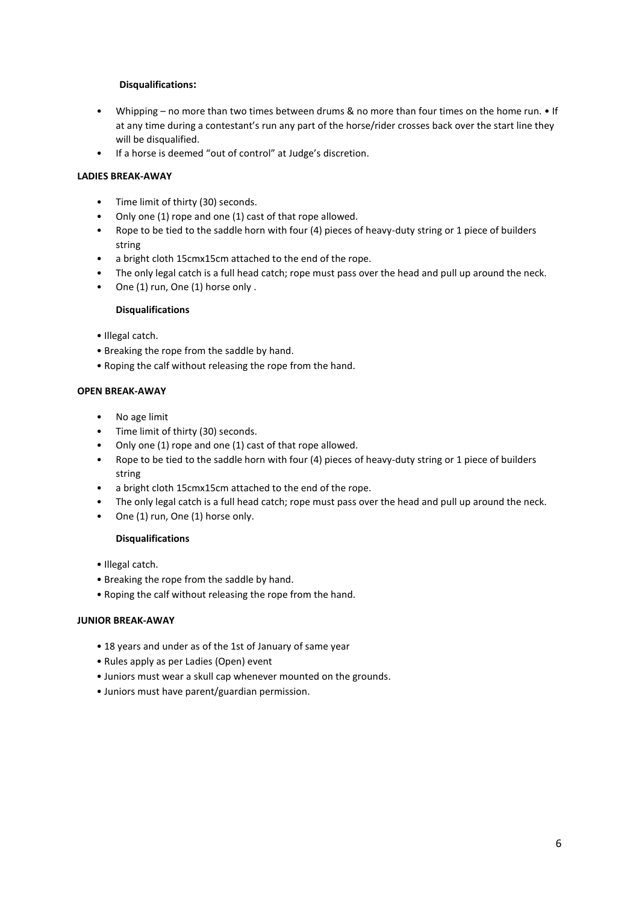## **Disqualifications:**

- Whipping no more than two times between drums & no more than four times on the home run. If at any time during a contestant's run any part of the horse/rider crosses back over the start line they will be disqualified.
- If a horse is deemed "out of control" at Judge's discretion.

## **LADIES BREAK-AWAY**

- Time limit of thirty (30) seconds.
- Only one (1) rope and one (1) cast of that rope allowed.
- Rope to be tied to the saddle horn with four (4) pieces of heavy-duty string or 1 piece of builders string
- a bright cloth 15cmx15cm attached to the end of the rope.
- The only legal catch is a full head catch; rope must pass over the head and pull up around the neck.
- One (1) run, One (1) horse only .

## **Disqualifications**

- Illegal catch.
- Breaking the rope from the saddle by hand.
- Roping the calf without releasing the rope from the hand.

## **OPEN BREAK-AWAY**

- No age limit
- Time limit of thirty (30) seconds.
- Only one (1) rope and one (1) cast of that rope allowed.
- Rope to be tied to the saddle horn with four (4) pieces of heavy-duty string or 1 piece of builders string
- a bright cloth 15cmx15cm attached to the end of the rope.
- The only legal catch is a full head catch; rope must pass over the head and pull up around the neck.
- One (1) run, One (1) horse only.

## **Disqualifications**

- Illegal catch.
- Breaking the rope from the saddle by hand.
- Roping the calf without releasing the rope from the hand.

## **JUNIOR BREAK-AWAY**

- 18 years and under as of the 1st of January of same year
- Rules apply as per Ladies (Open) event
- Juniors must wear a skull cap whenever mounted on the grounds.
- Juniors must have parent/guardian permission.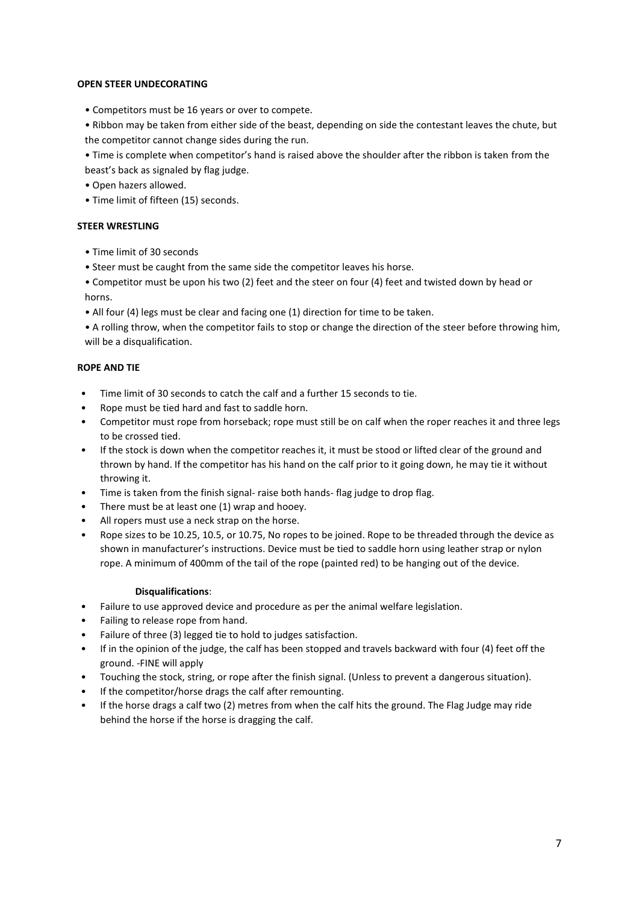### **OPEN STEER UNDECORATING**

- Competitors must be 16 years or over to compete.
- Ribbon may be taken from either side of the beast, depending on side the contestant leaves the chute, but the competitor cannot change sides during the run.
- Time is complete when competitor's hand is raised above the shoulder after the ribbon is taken from the beast's back as signaled by flag judge.
- Open hazers allowed.
- Time limit of fifteen (15) seconds.

## **STEER WRESTLING**

- Time limit of 30 seconds
- Steer must be caught from the same side the competitor leaves his horse.
- Competitor must be upon his two (2) feet and the steer on four (4) feet and twisted down by head or horns.
- All four (4) legs must be clear and facing one (1) direction for time to be taken.
- A rolling throw, when the competitor fails to stop or change the direction of the steer before throwing him, will be a disqualification.

## **ROPE AND TIE**

- Time limit of 30 seconds to catch the calf and a further 15 seconds to tie.
- Rope must be tied hard and fast to saddle horn.
- Competitor must rope from horseback; rope must still be on calf when the roper reaches it and three legs to be crossed tied.
- If the stock is down when the competitor reaches it, it must be stood or lifted clear of the ground and thrown by hand. If the competitor has his hand on the calf prior to it going down, he may tie it without throwing it.
- Time is taken from the finish signal- raise both hands- flag judge to drop flag.
- There must be at least one (1) wrap and hooey.
- All ropers must use a neck strap on the horse.
- Rope sizes to be 10.25, 10.5, or 10.75, No ropes to be joined. Rope to be threaded through the device as shown in manufacturer's instructions. Device must be tied to saddle horn using leather strap or nylon rope. A minimum of 400mm of the tail of the rope (painted red) to be hanging out of the device.

### **Disqualifications**:

- Failure to use approved device and procedure as per the animal welfare legislation.
- Failing to release rope from hand.
- Failure of three (3) legged tie to hold to judges satisfaction.
- If in the opinion of the judge, the calf has been stopped and travels backward with four (4) feet off the ground. -FINE will apply
- Touching the stock, string, or rope after the finish signal. (Unless to prevent a dangerous situation).
- If the competitor/horse drags the calf after remounting.
- If the horse drags a calf two (2) metres from when the calf hits the ground. The Flag Judge may ride behind the horse if the horse is dragging the calf.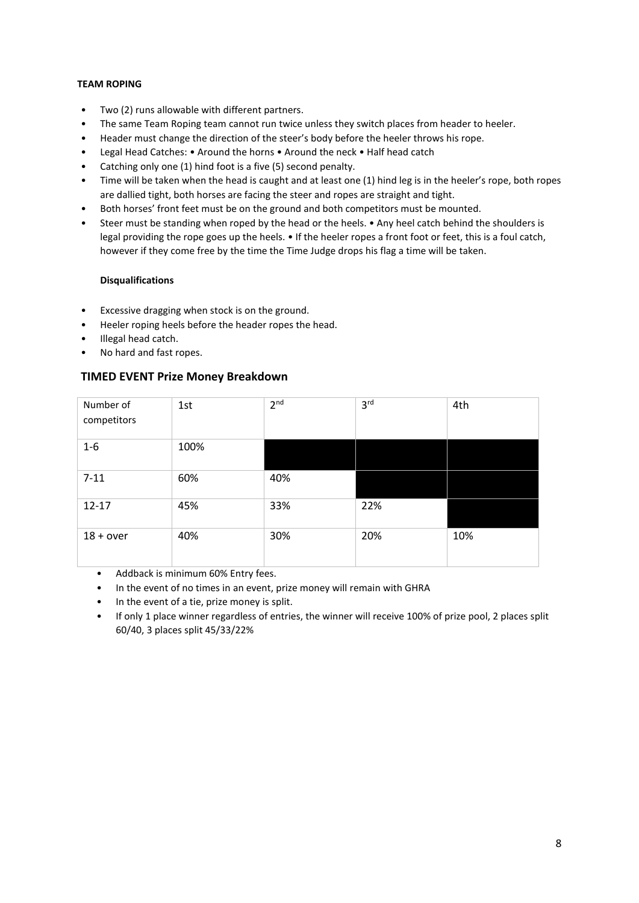## **TEAM ROPING**

- Two (2) runs allowable with different partners.
- The same Team Roping team cannot run twice unless they switch places from header to heeler.
- Header must change the direction of the steer's body before the heeler throws his rope.
- Legal Head Catches: Around the horns Around the neck Half head catch
- Catching only one (1) hind foot is a five (5) second penalty.
- Time will be taken when the head is caught and at least one (1) hind leg is in the heeler's rope, both ropes are dallied tight, both horses are facing the steer and ropes are straight and tight.
- Both horses' front feet must be on the ground and both competitors must be mounted.
- Steer must be standing when roped by the head or the heels. Any heel catch behind the shoulders is legal providing the rope goes up the heels. • If the heeler ropes a front foot or feet, this is a foul catch, however if they come free by the time the Time Judge drops his flag a time will be taken.

## **Disqualifications**

- Excessive dragging when stock is on the ground.
- Heeler roping heels before the header ropes the head.
- Illegal head catch.
- No hard and fast ropes.

## **TIMED EVENT Prize Money Breakdown**

| Number of<br>competitors | 1st  | 2 <sup>nd</sup> | 3 <sup>rd</sup> | 4th |
|--------------------------|------|-----------------|-----------------|-----|
| $1-6$                    | 100% |                 |                 |     |
| $7 - 11$                 | 60%  | 40%             |                 |     |
| $12 - 17$                | 45%  | 33%             | 22%             |     |
| $18 + over$              | 40%  | 30%             | 20%             | 10% |

- Addback is minimum 60% Entry fees.
- In the event of no times in an event, prize money will remain with GHRA
- In the event of a tie, prize money is split.
- If only 1 place winner regardless of entries, the winner will receive 100% of prize pool, 2 places split 60/40, 3 places split 45/33/22%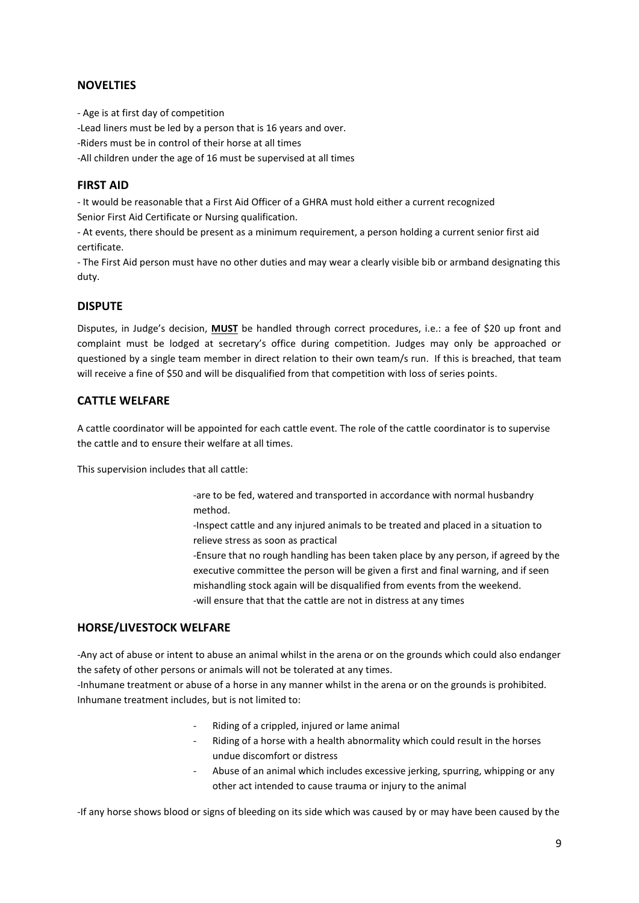## **NOVELTIES**

- Age is at first day of competition

-Lead liners must be led by a person that is 16 years and over.

-Riders must be in control of their horse at all times

-All children under the age of 16 must be supervised at all times

## **FIRST AID**

- It would be reasonable that a First Aid Officer of a GHRA must hold either a current recognized Senior First Aid Certificate or Nursing qualification.

- At events, there should be present as a minimum requirement, a person holding a current senior first aid certificate.

- The First Aid person must have no other duties and may wear a clearly visible bib or armband designating this duty.

## **DISPUTE**

Disputes, in Judge's decision, **MUST** be handled through correct procedures, i.e.: a fee of \$20 up front and complaint must be lodged at secretary's office during competition. Judges may only be approached or questioned by a single team member in direct relation to their own team/s run. If this is breached, that team will receive a fine of \$50 and will be disqualified from that competition with loss of series points.

## **CATTLE WELFARE**

A cattle coordinator will be appointed for each cattle event. The role of the cattle coordinator is to supervise the cattle and to ensure their welfare at all times.

This supervision includes that all cattle:

-are to be fed, watered and transported in accordance with normal husbandry method.

-Inspect cattle and any injured animals to be treated and placed in a situation to relieve stress as soon as practical

-Ensure that no rough handling has been taken place by any person, if agreed by the executive committee the person will be given a first and final warning, and if seen mishandling stock again will be disqualified from events from the weekend. -will ensure that that the cattle are not in distress at any times

## **HORSE/LIVESTOCK WELFARE**

-Any act of abuse or intent to abuse an animal whilst in the arena or on the grounds which could also endanger the safety of other persons or animals will not be tolerated at any times.

-Inhumane treatment or abuse of a horse in any manner whilst in the arena or on the grounds is prohibited. Inhumane treatment includes, but is not limited to:

- Riding of a crippled, injured or lame animal
- Riding of a horse with a health abnormality which could result in the horses undue discomfort or distress
- Abuse of an animal which includes excessive jerking, spurring, whipping or any other act intended to cause trauma or injury to the animal

-If any horse shows blood or signs of bleeding on its side which was caused by or may have been caused by the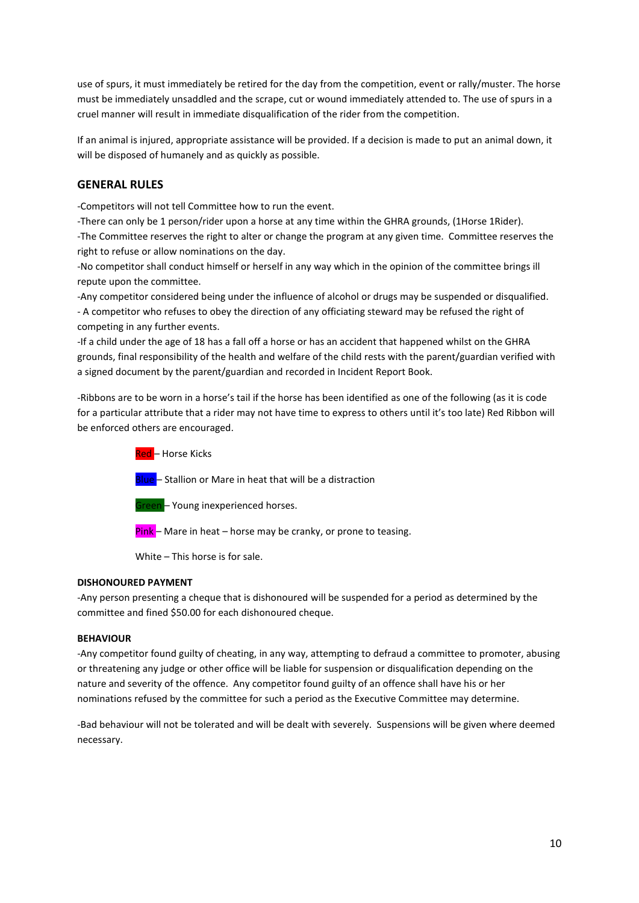use of spurs, it must immediately be retired for the day from the competition, event or rally/muster. The horse must be immediately unsaddled and the scrape, cut or wound immediately attended to. The use of spurs in a cruel manner will result in immediate disqualification of the rider from the competition.

If an animal is injured, appropriate assistance will be provided. If a decision is made to put an animal down, it will be disposed of humanely and as quickly as possible.

## **GENERAL RULES**

-Competitors will not tell Committee how to run the event.

-There can only be 1 person/rider upon a horse at any time within the GHRA grounds, (1Horse 1Rider). -The Committee reserves the right to alter or change the program at any given time. Committee reserves the right to refuse or allow nominations on the day.

-No competitor shall conduct himself or herself in any way which in the opinion of the committee brings ill repute upon the committee.

-Any competitor considered being under the influence of alcohol or drugs may be suspended or disqualified. - A competitor who refuses to obey the direction of any officiating steward may be refused the right of competing in any further events.

-If a child under the age of 18 has a fall off a horse or has an accident that happened whilst on the GHRA grounds, final responsibility of the health and welfare of the child rests with the parent/guardian verified with a signed document by the parent/guardian and recorded in Incident Report Book.

-Ribbons are to be worn in a horse's tail if the horse has been identified as one of the following (as it is code for a particular attribute that a rider may not have time to express to others until it's too late) Red Ribbon will be enforced others are encouraged.

> Red - Horse Kicks Blue - Stallion or Mare in heat that will be a distraction Green – Young inexperienced horses.  $Pink$  – Mare in heat – horse may be cranky, or prone to teasing.

White – This horse is for sale.

### **DISHONOURED PAYMENT**

-Any person presenting a cheque that is dishonoured will be suspended for a period as determined by the committee and fined \$50.00 for each dishonoured cheque.

## **BEHAVIOUR**

-Any competitor found guilty of cheating, in any way, attempting to defraud a committee to promoter, abusing or threatening any judge or other office will be liable for suspension or disqualification depending on the nature and severity of the offence. Any competitor found guilty of an offence shall have his or her nominations refused by the committee for such a period as the Executive Committee may determine.

-Bad behaviour will not be tolerated and will be dealt with severely. Suspensions will be given where deemed necessary.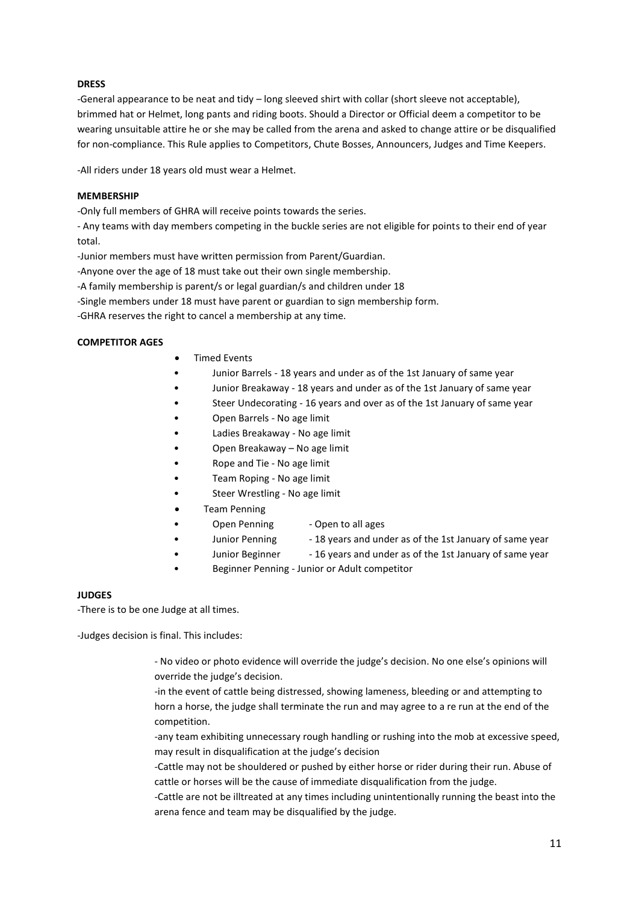## **DRESS**

-General appearance to be neat and tidy – long sleeved shirt with collar (short sleeve not acceptable), brimmed hat or Helmet, long pants and riding boots. Should a Director or Official deem a competitor to be wearing unsuitable attire he or she may be called from the arena and asked to change attire or be disqualified for non-compliance. This Rule applies to Competitors, Chute Bosses, Announcers, Judges and Time Keepers.

-All riders under 18 years old must wear a Helmet.

## **MEMBERSHIP**

-Only full members of GHRA will receive points towards the series.

- Any teams with day members competing in the buckle series are not eligible for points to their end of year total.

-Junior members must have written permission from Parent/Guardian.

-Anyone over the age of 18 must take out their own single membership.

-A family membership is parent/s or legal guardian/s and children under 18

-Single members under 18 must have parent or guardian to sign membership form.

-GHRA reserves the right to cancel a membership at any time.

### **COMPETITOR AGES**

- Timed Events
- Junior Barrels 18 years and under as of the 1st January of same year
- Junior Breakaway 18 years and under as of the 1st January of same year
- Steer Undecorating 16 years and over as of the 1st January of same year
- Open Barrels No age limit
- Ladies Breakaway No age limit
- Open Breakaway No age limit
- Rope and Tie No age limit
- Team Roping No age limit
- Steer Wrestling No age limit
- Team Penning
	- Open Penning Open to all ages
	- Junior Penning 18 years and under as of the 1st January of same year
	- Junior Beginner 16 years and under as of the 1st January of same year
- Beginner Penning Junior or Adult competitor

### **JUDGES**

-There is to be one Judge at all times.

-Judges decision is final. This includes:

- No video or photo evidence will override the judge's decision. No one else's opinions will override the judge's decision.
- -in the event of cattle being distressed, showing lameness, bleeding or and attempting to horn a horse, the judge shall terminate the run and may agree to a re run at the end of the competition.
- -any team exhibiting unnecessary rough handling or rushing into the mob at excessive speed, may result in disqualification at the judge's decision
- -Cattle may not be shouldered or pushed by either horse or rider during their run. Abuse of cattle or horses will be the cause of immediate disqualification from the judge.
- -Cattle are not be illtreated at any times including unintentionally running the beast into the arena fence and team may be disqualified by the judge.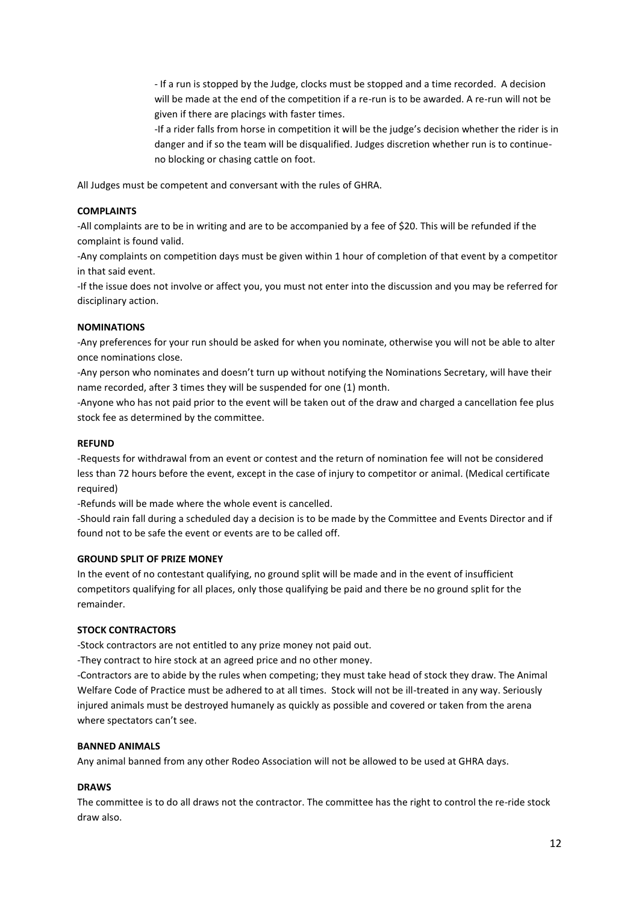- If a run is stopped by the Judge, clocks must be stopped and a time recorded. A decision will be made at the end of the competition if a re-run is to be awarded. A re-run will not be given if there are placings with faster times.

-If a rider falls from horse in competition it will be the judge's decision whether the rider is in danger and if so the team will be disqualified. Judges discretion whether run is to continueno blocking or chasing cattle on foot.

All Judges must be competent and conversant with the rules of GHRA.

### **COMPLAINTS**

-All complaints are to be in writing and are to be accompanied by a fee of \$20. This will be refunded if the complaint is found valid.

-Any complaints on competition days must be given within 1 hour of completion of that event by a competitor in that said event.

-If the issue does not involve or affect you, you must not enter into the discussion and you may be referred for disciplinary action.

#### **NOMINATIONS**

-Any preferences for your run should be asked for when you nominate, otherwise you will not be able to alter once nominations close.

-Any person who nominates and doesn't turn up without notifying the Nominations Secretary, will have their name recorded, after 3 times they will be suspended for one (1) month.

-Anyone who has not paid prior to the event will be taken out of the draw and charged a cancellation fee plus stock fee as determined by the committee.

#### **REFUND**

-Requests for withdrawal from an event or contest and the return of nomination fee will not be considered less than 72 hours before the event, except in the case of injury to competitor or animal. (Medical certificate required)

-Refunds will be made where the whole event is cancelled.

-Should rain fall during a scheduled day a decision is to be made by the Committee and Events Director and if found not to be safe the event or events are to be called off.

#### **GROUND SPLIT OF PRIZE MONEY**

In the event of no contestant qualifying, no ground split will be made and in the event of insufficient competitors qualifying for all places, only those qualifying be paid and there be no ground split for the remainder.

### **STOCK CONTRACTORS**

-Stock contractors are not entitled to any prize money not paid out.

-They contract to hire stock at an agreed price and no other money.

-Contractors are to abide by the rules when competing; they must take head of stock they draw. The Animal Welfare Code of Practice must be adhered to at all times. Stock will not be ill-treated in any way. Seriously injured animals must be destroyed humanely as quickly as possible and covered or taken from the arena where spectators can't see.

#### **BANNED ANIMALS**

Any animal banned from any other Rodeo Association will not be allowed to be used at GHRA days.

#### **DRAWS**

The committee is to do all draws not the contractor. The committee has the right to control the re-ride stock draw also.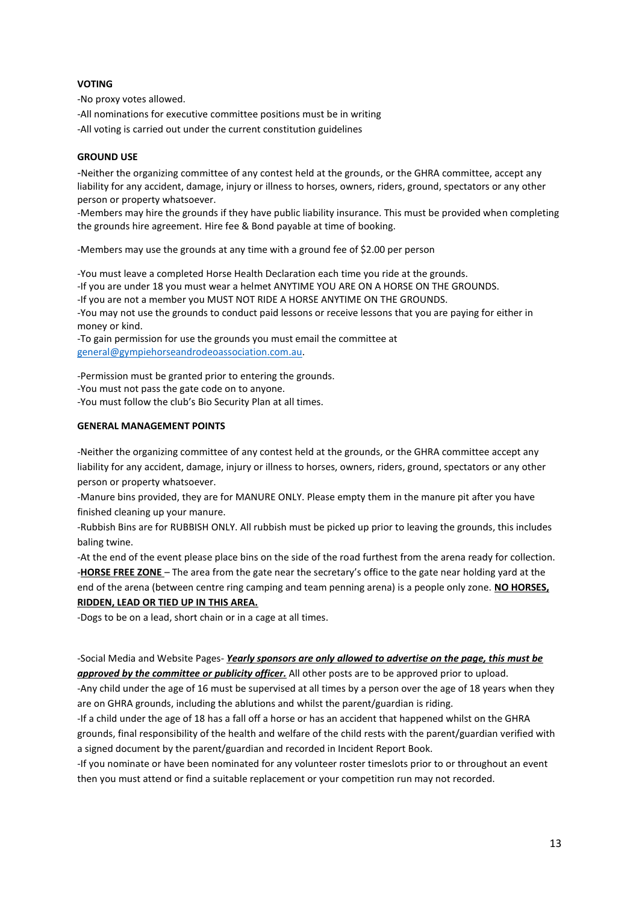## **VOTING**

-No proxy votes allowed.

-All nominations for executive committee positions must be in writing

-All voting is carried out under the current constitution guidelines

## **GROUND USE**

-Neither the organizing committee of any contest held at the grounds, or the GHRA committee, accept any liability for any accident, damage, injury or illness to horses, owners, riders, ground, spectators or any other person or property whatsoever.

-Members may hire the grounds if they have public liability insurance. This must be provided when completing the grounds hire agreement. Hire fee & Bond payable at time of booking.

-Members may use the grounds at any time with a ground fee of \$2.00 per person

-You must leave a completed Horse Health Declaration each time you ride at the grounds.

-If you are under 18 you must wear a helmet ANYTIME YOU ARE ON A HORSE ON THE GROUNDS.

-If you are not a member you MUST NOT RIDE A HORSE ANYTIME ON THE GROUNDS.

-You may not use the grounds to conduct paid lessons or receive lessons that you are paying for either in money or kind.

-To gain permission for use the grounds you must email the committee at [general@gympiehorseandrodeoassociation.com.au.](about:blank)

-Permission must be granted prior to entering the grounds.

-You must not pass the gate code on to anyone.

-You must follow the club's Bio Security Plan at all times.

## **GENERAL MANAGEMENT POINTS**

-Neither the organizing committee of any contest held at the grounds, or the GHRA committee accept any liability for any accident, damage, injury or illness to horses, owners, riders, ground, spectators or any other person or property whatsoever.

-Manure bins provided, they are for MANURE ONLY. Please empty them in the manure pit after you have finished cleaning up your manure.

-Rubbish Bins are for RUBBISH ONLY. All rubbish must be picked up prior to leaving the grounds, this includes baling twine.

-At the end of the event please place bins on the side of the road furthest from the arena ready for collection. -**HORSE FREE ZONE** – The area from the gate near the secretary's office to the gate near holding yard at the end of the arena (between centre ring camping and team penning arena) is a people only zone. **NO HORSES, RIDDEN, LEAD OR TIED UP IN THIS AREA.**

-Dogs to be on a lead, short chain or in a cage at all times.

-Social Media and Website Pages- *Yearly sponsors are only allowed to advertise on the page, this must be approved by the committee or publicity officer.* All other posts are to be approved prior to upload.

-Any child under the age of 16 must be supervised at all times by a person over the age of 18 years when they are on GHRA grounds, including the ablutions and whilst the parent/guardian is riding.

-If a child under the age of 18 has a fall off a horse or has an accident that happened whilst on the GHRA grounds, final responsibility of the health and welfare of the child rests with the parent/guardian verified with a signed document by the parent/guardian and recorded in Incident Report Book.

-If you nominate or have been nominated for any volunteer roster timeslots prior to or throughout an event then you must attend or find a suitable replacement or your competition run may not recorded.